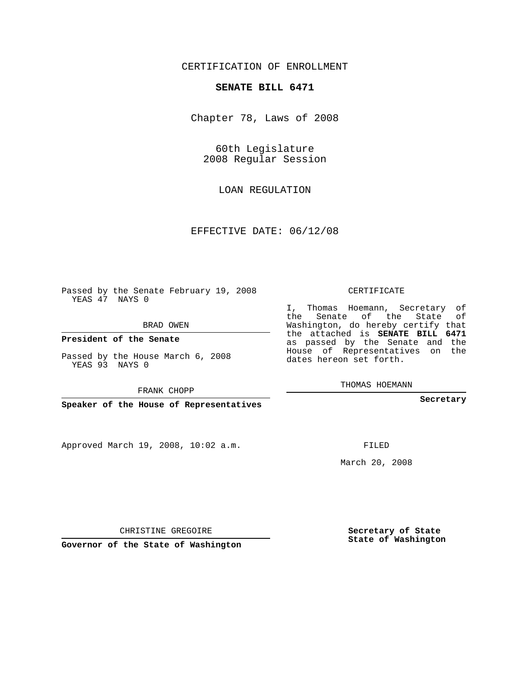## CERTIFICATION OF ENROLLMENT

## **SENATE BILL 6471**

Chapter 78, Laws of 2008

60th Legislature 2008 Regular Session

LOAN REGULATION

EFFECTIVE DATE: 06/12/08

Passed by the Senate February 19, 2008 YEAS 47 NAYS 0

BRAD OWEN

**President of the Senate**

Passed by the House March 6, 2008 YEAS 93 NAYS 0

FRANK CHOPP

**Speaker of the House of Representatives**

Approved March 19, 2008, 10:02 a.m.

CERTIFICATE

I, Thomas Hoemann, Secretary of the Senate of the State of Washington, do hereby certify that the attached is **SENATE BILL 6471** as passed by the Senate and the House of Representatives on the dates hereon set forth.

THOMAS HOEMANN

**Secretary**

FILED

March 20, 2008

**Secretary of State State of Washington**

CHRISTINE GREGOIRE

**Governor of the State of Washington**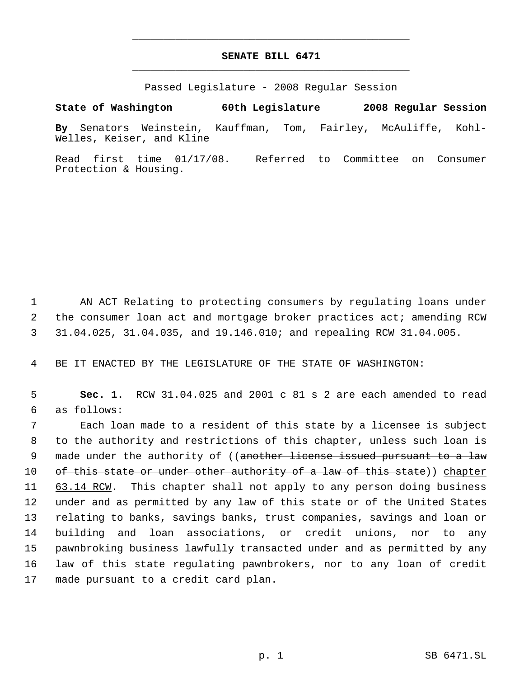## **SENATE BILL 6471** \_\_\_\_\_\_\_\_\_\_\_\_\_\_\_\_\_\_\_\_\_\_\_\_\_\_\_\_\_\_\_\_\_\_\_\_\_\_\_\_\_\_\_\_\_

\_\_\_\_\_\_\_\_\_\_\_\_\_\_\_\_\_\_\_\_\_\_\_\_\_\_\_\_\_\_\_\_\_\_\_\_\_\_\_\_\_\_\_\_\_

Passed Legislature - 2008 Regular Session

**State of Washington 60th Legislature 2008 Regular Session By** Senators Weinstein, Kauffman, Tom, Fairley, McAuliffe, Kohl-Welles, Keiser, and Kline

Read first time 01/17/08. Referred to Committee on Consumer Protection & Housing.

 1 AN ACT Relating to protecting consumers by regulating loans under 2 the consumer loan act and mortgage broker practices act; amending RCW 3 31.04.025, 31.04.035, and 19.146.010; and repealing RCW 31.04.005.

4 BE IT ENACTED BY THE LEGISLATURE OF THE STATE OF WASHINGTON:

 5 **Sec. 1.** RCW 31.04.025 and 2001 c 81 s 2 are each amended to read 6 as follows:

 Each loan made to a resident of this state by a licensee is subject to the authority and restrictions of this chapter, unless such loan is 9 made under the authority of ((another license issued pursuant to a law 10 of this state or under other authority of a law of this state)) chapter 11 63.14 RCW. This chapter shall not apply to any person doing business under and as permitted by any law of this state or of the United States relating to banks, savings banks, trust companies, savings and loan or building and loan associations, or credit unions, nor to any pawnbroking business lawfully transacted under and as permitted by any law of this state regulating pawnbrokers, nor to any loan of credit made pursuant to a credit card plan.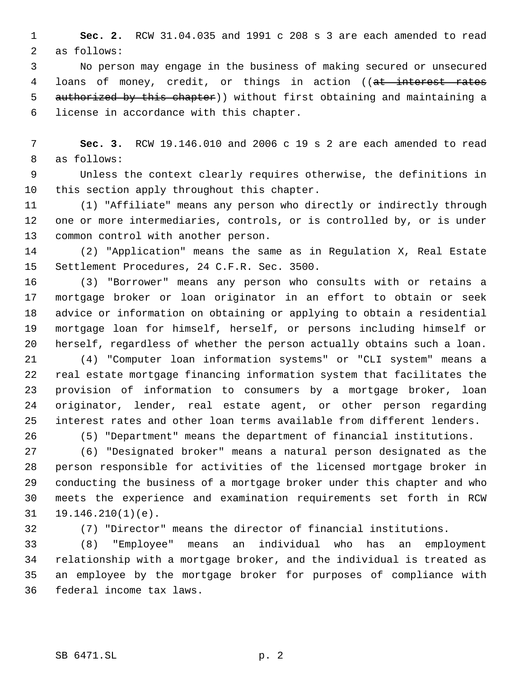**Sec. 2.** RCW 31.04.035 and 1991 c 208 s 3 are each amended to read as follows:

 No person may engage in the business of making secured or unsecured 4 loans of money, credit, or things in action ((at interest rates 5 authorized by this chapter)) without first obtaining and maintaining a license in accordance with this chapter.

 **Sec. 3.** RCW 19.146.010 and 2006 c 19 s 2 are each amended to read as follows:

 Unless the context clearly requires otherwise, the definitions in this section apply throughout this chapter.

 (1) "Affiliate" means any person who directly or indirectly through one or more intermediaries, controls, or is controlled by, or is under common control with another person.

 (2) "Application" means the same as in Regulation X, Real Estate Settlement Procedures, 24 C.F.R. Sec. 3500.

 (3) "Borrower" means any person who consults with or retains a mortgage broker or loan originator in an effort to obtain or seek advice or information on obtaining or applying to obtain a residential mortgage loan for himself, herself, or persons including himself or herself, regardless of whether the person actually obtains such a loan.

 (4) "Computer loan information systems" or "CLI system" means a real estate mortgage financing information system that facilitates the provision of information to consumers by a mortgage broker, loan originator, lender, real estate agent, or other person regarding interest rates and other loan terms available from different lenders.

(5) "Department" means the department of financial institutions.

 (6) "Designated broker" means a natural person designated as the person responsible for activities of the licensed mortgage broker in conducting the business of a mortgage broker under this chapter and who meets the experience and examination requirements set forth in RCW 19.146.210(1)(e).

(7) "Director" means the director of financial institutions.

 (8) "Employee" means an individual who has an employment relationship with a mortgage broker, and the individual is treated as an employee by the mortgage broker for purposes of compliance with federal income tax laws.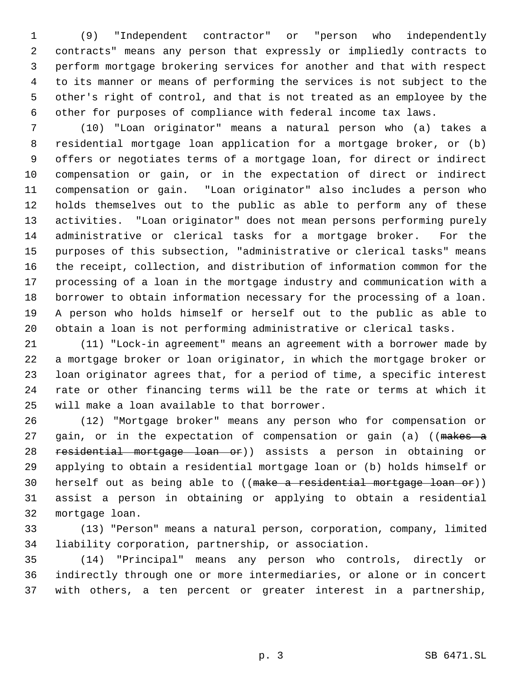(9) "Independent contractor" or "person who independently contracts" means any person that expressly or impliedly contracts to perform mortgage brokering services for another and that with respect to its manner or means of performing the services is not subject to the other's right of control, and that is not treated as an employee by the other for purposes of compliance with federal income tax laws.

 (10) "Loan originator" means a natural person who (a) takes a residential mortgage loan application for a mortgage broker, or (b) offers or negotiates terms of a mortgage loan, for direct or indirect compensation or gain, or in the expectation of direct or indirect compensation or gain. "Loan originator" also includes a person who holds themselves out to the public as able to perform any of these activities. "Loan originator" does not mean persons performing purely administrative or clerical tasks for a mortgage broker. For the purposes of this subsection, "administrative or clerical tasks" means the receipt, collection, and distribution of information common for the processing of a loan in the mortgage industry and communication with a borrower to obtain information necessary for the processing of a loan. A person who holds himself or herself out to the public as able to obtain a loan is not performing administrative or clerical tasks.

 (11) "Lock-in agreement" means an agreement with a borrower made by a mortgage broker or loan originator, in which the mortgage broker or loan originator agrees that, for a period of time, a specific interest rate or other financing terms will be the rate or terms at which it will make a loan available to that borrower.

 (12) "Mortgage broker" means any person who for compensation or 27 gain, or in the expectation of compensation or gain (a) ((makes a residential mortgage loan or)) assists a person in obtaining or applying to obtain a residential mortgage loan or (b) holds himself or herself out as being able to ((make a residential mortgage loan or)) assist a person in obtaining or applying to obtain a residential mortgage loan.

 (13) "Person" means a natural person, corporation, company, limited liability corporation, partnership, or association.

 (14) "Principal" means any person who controls, directly or indirectly through one or more intermediaries, or alone or in concert with others, a ten percent or greater interest in a partnership,